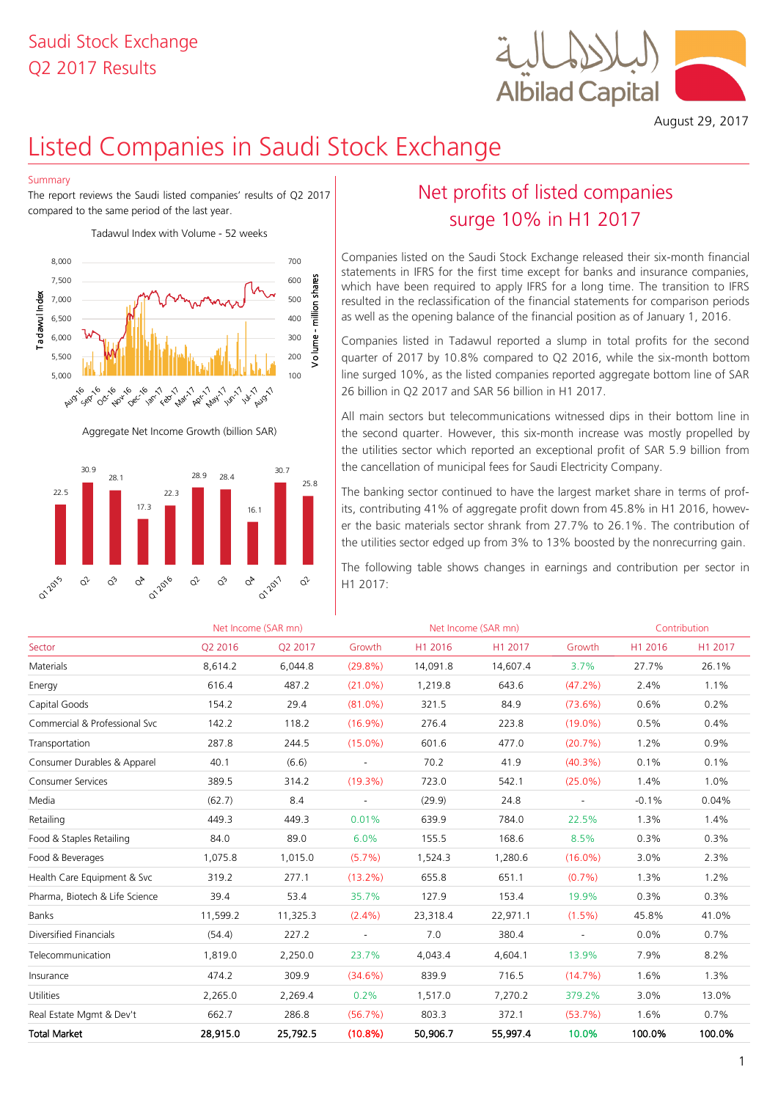## Q2 2017 Results Saudi Stock Exchange



August 29, 2017

# Listed Companies in Saudi Stock Exchange

#### Summary

The report reviews the Saudi listed companies' results of Q2 2017 compared to the same period of the last year.

Tadawul Index with Volume - 52 weeks



Aggregate Net Income Growth (billion SAR)



## Net profits of listed companies surge 10% in H1 2017

Companies listed on the Saudi Stock Exchange released their six-month financial statements in IFRS for the first time except for banks and insurance companies, which have been required to apply IFRS for a long time. The transition to IFRS resulted in the reclassification of the financial statements for comparison periods as well as the opening balance of the financial position as of January 1, 2016.

Companies listed in Tadawul reported a slump in total profits for the second quarter of 2017 by 10.8% compared to Q2 2016, while the six-month bottom line surged 10%, as the listed companies reported aggregate bottom line of SAR 26 billion in Q2 2017 and SAR 56 billion in H1 2017.

All main sectors but telecommunications witnessed dips in their bottom line in the second quarter. However, this six-month increase was mostly propelled by the utilities sector which reported an exceptional profit of SAR 5.9 billion from the cancellation of municipal fees for Saudi Electricity Company.

The banking sector continued to have the largest market share in terms of profits, contributing 41% of aggregate profit down from 45.8% in H1 2016, however the basic materials sector shrank from 27.7% to 26.1%. The contribution of the utilities sector edged up from 3% to 13% boosted by the nonrecurring gain.

| 22.5<br>22.3<br>17.3                                                                                           | 16.1                                                         |                          |                |          | The banking sector continued to have the largest market share in terms of prof-<br>its, contributing 41% of aggregate profit down from 45.8% in H1 2016, howev-<br>er the basic materials sector shrank from 27.7% to 26.1%. The contribution of<br>the utilities sector edged up from 3% to 13% boosted by the nonrecurring gain. |            |         |              |
|----------------------------------------------------------------------------------------------------------------|--------------------------------------------------------------|--------------------------|----------------|----------|------------------------------------------------------------------------------------------------------------------------------------------------------------------------------------------------------------------------------------------------------------------------------------------------------------------------------------|------------|---------|--------------|
| 01-2016<br>$\hat{\alpha}^{\!\scriptscriptstyle L}$<br>$\vec{C}$<br>$\mathcal{O}_{\! \! \mathcal{V}}$<br>012015 | $\vec{C}$<br>$\mathrm{o}^{\triangleright}$<br>$\hat{\alpha}$ | 012017<br>$\hat{\alpha}$ | H1 2017:       |          | The following table shows changes in earnings and contribution per sector in                                                                                                                                                                                                                                                       |            |         |              |
|                                                                                                                | Net Income (SAR mn)                                          |                          |                |          | Net Income (SAR mn)                                                                                                                                                                                                                                                                                                                |            |         | Contribution |
| Sector                                                                                                         | Q2 2016                                                      | Q2 2017                  | Growth         | H1 2016  | H1 2017                                                                                                                                                                                                                                                                                                                            | Growth     | H1 2016 | H1 2017      |
| Materials                                                                                                      | 8,614.2                                                      | 6,044.8                  | $(29.8\%)$     | 14,091.8 | 14,607.4                                                                                                                                                                                                                                                                                                                           | 3.7%       | 27.7%   | 26.1%        |
| Energy                                                                                                         | 616.4                                                        | 487.2                    | $(21.0\%)$     | 1,219.8  | 643.6                                                                                                                                                                                                                                                                                                                              | (47.2%)    | 2.4%    | 1.1%         |
| Capital Goods                                                                                                  | 154.2                                                        | 29.4                     | $(81.0\%)$     | 321.5    | 84.9                                                                                                                                                                                                                                                                                                                               | (73.6%)    | 0.6%    | 0.2%         |
| Commercial & Professional Svc                                                                                  | 142.2                                                        | 118.2                    | $(16.9\%)$     | 276.4    | 223.8                                                                                                                                                                                                                                                                                                                              | $(19.0\%)$ | 0.5%    | 0.4%         |
| Transportation                                                                                                 | 287.8                                                        | 244.5                    | $(15.0\%)$     | 601.6    | 477.0                                                                                                                                                                                                                                                                                                                              | (20.7%)    | 1.2%    | 0.9%         |
| Consumer Durables & Apparel                                                                                    | 40.1                                                         | (6.6)                    | $\blacksquare$ | 70.2     | 41.9                                                                                                                                                                                                                                                                                                                               | $(40.3\%)$ | 0.1%    | 0.1%         |
| <b>Consumer Services</b>                                                                                       | 389.5                                                        | 314.2                    | $(19.3\%)$     | 723.0    | 542.1                                                                                                                                                                                                                                                                                                                              | $(25.0\%)$ | 1.4%    | 1.0%         |
| Media                                                                                                          | (62.7)                                                       | 8.4                      |                | (29.9)   | 24.8                                                                                                                                                                                                                                                                                                                               |            | $-0.1%$ | 0.04%        |
| Retailing                                                                                                      | 449.3                                                        | 449.3                    | 0.01%          | 639.9    | 784.0                                                                                                                                                                                                                                                                                                                              | 22.5%      | 1.3%    | 1.4%         |
| Food & Staples Retailing                                                                                       | 84.0                                                         | 89.0                     | 6.0%           | 155.5    | 168.6                                                                                                                                                                                                                                                                                                                              | 8.5%       | 0.3%    | 0.3%         |
| Food & Beverages                                                                                               | 1,075.8                                                      | 1,015.0                  | $(5.7\%)$      | 1,524.3  | 1,280.6                                                                                                                                                                                                                                                                                                                            | $(16.0\%)$ | 3.0%    | 2.3%         |
| Health Care Equipment & Svc                                                                                    | 319.2                                                        | 277.1                    | $(13.2\%)$     | 655.8    | 651.1                                                                                                                                                                                                                                                                                                                              | $(0.7\%)$  | 1.3%    | 1.2%         |
| Pharma, Biotech & Life Science                                                                                 | 39.4                                                         | 53.4                     | 35.7%          | 127.9    | 153.4                                                                                                                                                                                                                                                                                                                              | 19.9%      | 0.3%    | 0.3%         |
| Banks                                                                                                          | 11,599.2                                                     | 11,325.3                 | $(2.4\%)$      | 23,318.4 | 22,971.1                                                                                                                                                                                                                                                                                                                           | $(1.5\%)$  | 45.8%   | 41.0%        |
| Diversified Financials                                                                                         | (54.4)                                                       | 227.2                    |                | 7.0      | 380.4                                                                                                                                                                                                                                                                                                                              |            | 0.0%    | 0.7%         |
| Telecommunication                                                                                              | 1,819.0                                                      | 2,250.0                  | 23.7%          | 4,043.4  | 4,604.1                                                                                                                                                                                                                                                                                                                            | 13.9%      | 7.9%    | 8.2%         |
| Insurance                                                                                                      | 474.2                                                        | 309.9                    | $(34.6\%)$     | 839.9    | 716.5                                                                                                                                                                                                                                                                                                                              | $(14.7\%)$ | 1.6%    | 1.3%         |
| Utilities                                                                                                      | 2,265.0                                                      | 2,269.4                  | 0.2%           | 1,517.0  | 7,270.2                                                                                                                                                                                                                                                                                                                            | 379.2%     | 3.0%    | 13.0%        |
| Real Estate Mgmt & Dev't                                                                                       | 662.7                                                        | 286.8                    | (56.7%)        | 803.3    | 372.1                                                                                                                                                                                                                                                                                                                              | (53.7%)    | 1.6%    | 0.7%         |
| <b>Total Market</b>                                                                                            | 28,915.0                                                     | 25,792.5                 | (10.8%)        | 50,906.7 | 55,997.4                                                                                                                                                                                                                                                                                                                           | 10.0%      | 100.0%  | 100.0%       |
|                                                                                                                |                                                              |                          |                |          |                                                                                                                                                                                                                                                                                                                                    |            |         |              |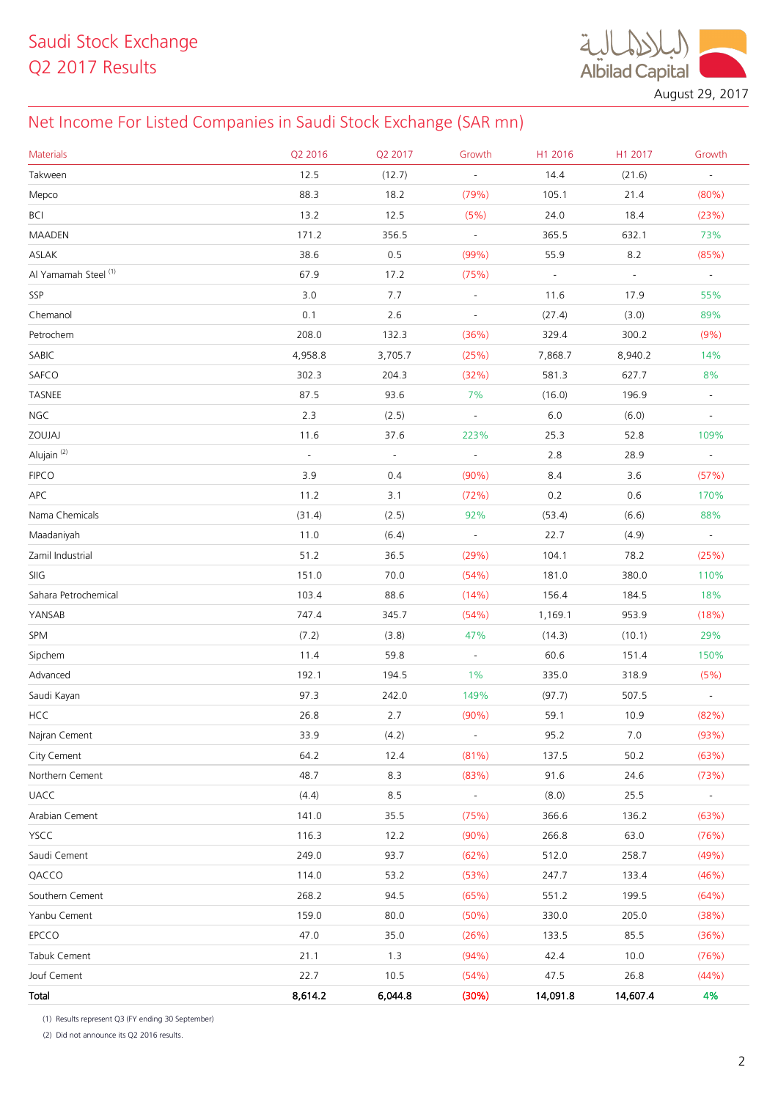$\ddot{\mathcal{A}}$ **Albilad Capital** 

August 29, 2017

## Net Income For Listed Companies in Saudi Stock Exchange (SAR mn)

| <b>Materials</b>                | Q2 2016  | Q2 2017 | Growth                   | H1 2016  | H1 2017  | Growth         |
|---------------------------------|----------|---------|--------------------------|----------|----------|----------------|
| Takween                         | 12.5     | (12.7)  | $\blacksquare$           | 14.4     | (21.6)   | $\blacksquare$ |
| Mepco                           | 88.3     | 18.2    | (79%)                    | 105.1    | 21.4     | (80%)          |
| <b>BCI</b>                      | 13.2     | 12.5    | (5%)                     | 24.0     | 18.4     | (23%)          |
| MAADEN                          | 171.2    | 356.5   | $\omega$                 | 365.5    | 632.1    | 73%            |
| ASLAK                           | 38.6     | 0.5     | (99%)                    | 55.9     | 8.2      | (85%)          |
| Al Yamamah Steel <sup>(1)</sup> | 67.9     | 17.2    | (75%)                    | $\omega$ | $\omega$ | $\omega$       |
| SSP                             | 3.0      | 7.7     | $\blacksquare$           | 11.6     | 17.9     | 55%            |
| Chemanol                        | 0.1      | 2.6     | $\overline{\phantom{a}}$ | (27.4)   | (3.0)    | 89%            |
| Petrochem                       | 208.0    | 132.3   | (36%)                    | 329.4    | 300.2    | (9%)           |
| SABIC                           | 4,958.8  | 3,705.7 | (25%)                    | 7,868.7  | 8,940.2  | 14%            |
| SAFCO                           | 302.3    | 204.3   | (32%)                    | 581.3    | 627.7    | 8%             |
| TASNEE                          | 87.5     | 93.6    | 7%                       | (16.0)   | 196.9    | $\blacksquare$ |
| <b>NGC</b>                      | 2.3      | (2.5)   | $\omega$                 | $6.0\,$  | (6.0)    | $\blacksquare$ |
| ZOUJAJ                          | 11.6     | 37.6    | 223%                     | 25.3     | 52.8     | 109%           |
| Alujain <sup>(2)</sup>          | $\omega$ | $\Box$  | $\omega$                 | 2.8      | 28.9     | $\omega$       |
| <b>FIPCO</b>                    | 3.9      | 0.4     | $(90\%)$                 | 8.4      | 3.6      | (57%)          |
| <b>APC</b>                      | 11.2     | 3.1     | (72%)                    | 0.2      | 0.6      | 170%           |
| Nama Chemicals                  | (31.4)   | (2.5)   | 92%                      | (53.4)   | (6.6)    | 88%            |
| Maadaniyah                      | 11.0     | (6.4)   | $\overline{\phantom{a}}$ | 22.7     | (4.9)    | $\blacksquare$ |
| Zamil Industrial                | 51.2     | 36.5    | (29%)                    | 104.1    | 78.2     | (25%)          |
| SIIG                            | 151.0    | 70.0    | (54%)                    | 181.0    | 380.0    | 110%           |
| Sahara Petrochemical            | 103.4    | 88.6    | (14%)                    | 156.4    | 184.5    | 18%            |
| YANSAB                          | 747.4    | 345.7   | (54%)                    | 1,169.1  | 953.9    | (18%)          |
| SPM                             | (7.2)    | (3.8)   | 47%                      | (14.3)   | (10.1)   | 29%            |
| Sipchem                         | 11.4     | 59.8    | $\sim$                   | 60.6     | 151.4    | 150%           |
| Advanced                        | 192.1    | 194.5   | 1%                       | 335.0    | 318.9    | (5%)           |
| Saudi Kayan                     | 97.3     | 242.0   | 149%                     | (97.7)   | 507.5    | $\sim$         |
| <b>HCC</b>                      | 26.8     | 2.7     | $(90\%)$                 | 59.1     | 10.9     | (82%)          |
| Najran Cement                   | 33.9     | (4.2)   | $\overline{\phantom{a}}$ | 95.2     | $7.0$    | (93%)          |
| City Cement                     | 64.2     | 12.4    | (81%)                    | 137.5    | 50.2     | (63%)          |
| Northern Cement                 | 48.7     | 8.3     | (83%)                    | 91.6     | 24.6     | (73%)          |
| <b>UACC</b>                     | (4.4)    | 8.5     | $\blacksquare$           | (8.0)    | 25.5     | $\sim$         |
| Arabian Cement                  | 141.0    | 35.5    | (75%)                    | 366.6    | 136.2    | (63%)          |
| YSCC                            | 116.3    | 12.2    | (90%)                    | 266.8    | 63.0     | (76%)          |
| Saudi Cement                    | 249.0    | 93.7    | (62%)                    | 512.0    | 258.7    | (49%)          |
| QACCO                           | 114.0    | 53.2    | (53%)                    | 247.7    | 133.4    | (46%)          |
| Southern Cement                 | 268.2    | 94.5    | (65%)                    | 551.2    | 199.5    | (64%)          |
| Yanbu Cement                    | 159.0    | 80.0    | (50%)                    | 330.0    | 205.0    | (38%)          |
| EPCCO                           | 47.0     | 35.0    | (26%)                    | 133.5    | 85.5     | (36%)          |
| Tabuk Cement                    | 21.1     | 1.3     | (94% )                   | 42.4     | 10.0     | (76%)          |
| Jouf Cement                     | 22.7     | 10.5    | (54%)                    | 47.5     | 26.8     | (44%)          |
| Total                           | 8,614.2  | 6,044.8 | (30%)                    | 14,091.8 | 14,607.4 | 4%             |

(1) Results represent Q3 (FY ending 30 September)

(2) Did not announce its Q2 2016 results.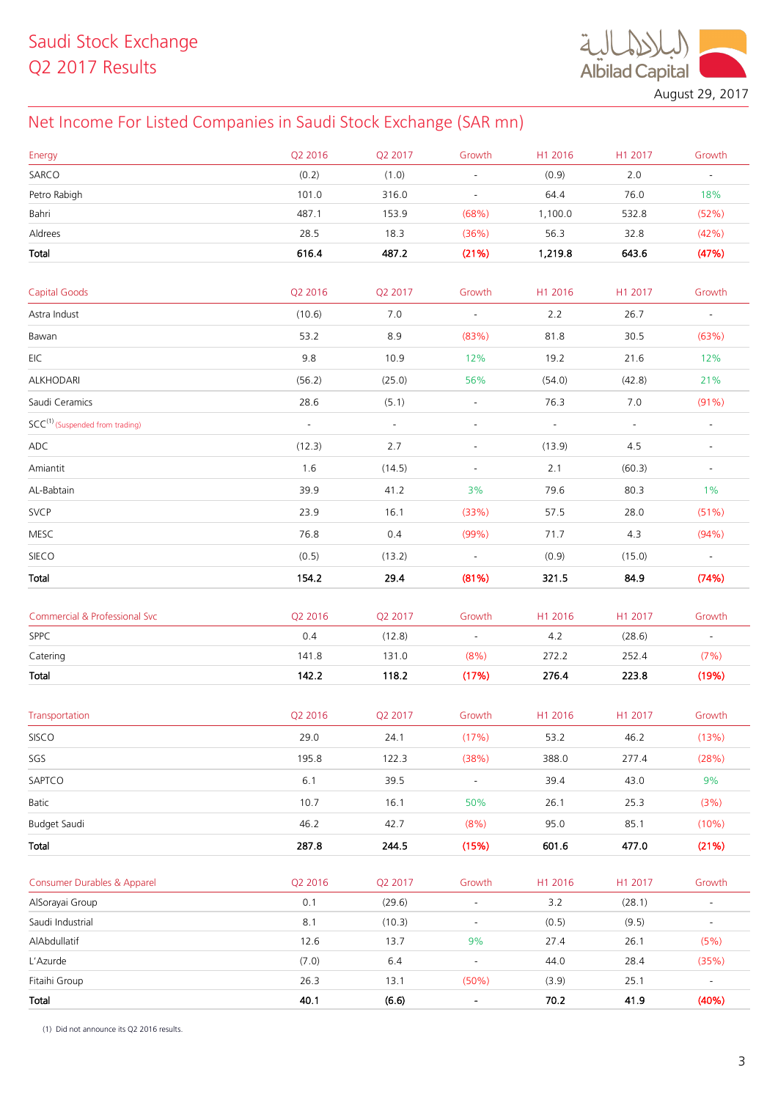**Albilad Capital** 

August 29, 2017

## Net Income For Listed Companies in Saudi Stock Exchange (SAR mn)

| Energy                                      | Q2 2016  | Q2 2017  | Growth                       | H1 2016  | H1 2017                     | Growth                   |
|---------------------------------------------|----------|----------|------------------------------|----------|-----------------------------|--------------------------|
| SARCO                                       | (0.2)    | (1.0)    | ä,                           | (0.9)    | 2.0                         | $\equiv$                 |
| Petro Rabigh                                | 101.0    | 316.0    | $\overline{\phantom{a}}$     | 64.4     | 76.0                        | 18%                      |
| Bahri                                       | 487.1    | 153.9    | (68%)                        | 1,100.0  | 532.8                       | (52%)                    |
| Aldrees                                     | 28.5     | 18.3     | (36%)                        | 56.3     | 32.8                        | (42%)                    |
| <b>Total</b>                                | 616.4    | 487.2    | (21%)                        | 1,219.8  | 643.6                       | (47%)                    |
|                                             |          |          |                              |          |                             |                          |
| <b>Capital Goods</b>                        | Q2 2016  | Q2 2017  | Growth                       | H1 2016  | H1 2017                     | Growth                   |
| Astra Indust                                | (10.6)   | 7.0      | $\omega$                     | 2.2      | 26.7                        | $\sim$                   |
| Bawan                                       | 53.2     | 8.9      | (83%)                        | 81.8     | 30.5                        | (63%)                    |
| EIC                                         | 9.8      | 10.9     | 12%                          | 19.2     | 21.6                        | 12%                      |
| ALKHODARI                                   | (56.2)   | (25.0)   | 56%                          | (54.0)   | (42.8)                      | 21%                      |
| Saudi Ceramics                              | 28.6     | (5.1)    | $\Box$                       | 76.3     | 7.0                         | $(91\%)$                 |
| SCC <sup>(1)</sup> (Suspended from trading) | $\omega$ | $\equiv$ | $\blacksquare$               | $\omega$ | $\mathcal{L}_{\mathcal{A}}$ | $\blacksquare$           |
| ADC                                         | (12.3)   | 2.7      | $\blacksquare$               | (13.9)   | 4.5                         | $\overline{\phantom{a}}$ |
| Amiantit                                    | 1.6      | (14.5)   | $\overline{\phantom{a}}$     | 2.1      | (60.3)                      | $\blacksquare$           |
| AL-Babtain                                  | 39.9     | 41.2     | 3%                           | 79.6     | 80.3                        | $1\%$                    |
| <b>SVCP</b>                                 | 23.9     | 16.1     | (33%)                        | 57.5     | 28.0                        | (51%)                    |
| MESC                                        | 76.8     | 0.4      | (99%)                        | 71.7     | 4.3                         | (94% )                   |
| SIECO                                       | (0.5)    | (13.2)   | $\sim$                       | (0.9)    | (15.0)                      | $\sim$                   |
| Total                                       | 154.2    | 29.4     | (81%)                        | 321.5    | 84.9                        | (74%)                    |
|                                             |          |          |                              |          |                             |                          |
| Commercial & Professional Svc               | Q2 2016  | Q2 2017  | Growth                       | H1 2016  | H1 2017                     | Growth                   |
| SPPC                                        | 0.4      | (12.8)   | $\sim$                       | 4.2      | (28.6)                      | $\equiv$                 |
| Catering                                    | 141.8    | 131.0    | (8%)                         | 272.2    | 252.4                       | (7%)                     |
| Total                                       | 142.2    | 118.2    | (17%)                        | 276.4    | 223.8                       | (19%)                    |
|                                             |          |          |                              |          |                             |                          |
| Transportation                              | Q2 2016  | Q2 2017  | Growth                       | H1 2016  | H1 2017                     | Growth                   |
| SISCO                                       | 29.0     | 24.1     | (17%)                        | 53.2     | 46.2                        | (13%)                    |
| SGS                                         | 195.8    | 122.3    | (38%)                        | 388.0    | 277.4                       | (28%)                    |
| SAPTCO                                      | $6.1$    | 39.5     | $\blacksquare$               | 39.4     | 43.0                        | 9%                       |
| Batic                                       | 10.7     | 16.1     | 50%                          | 26.1     | 25.3                        | (3%)                     |
| Budget Saudi                                | 46.2     | 42.7     | (8%)                         | 95.0     | 85.1                        | (10%)                    |
| Total                                       | 287.8    | 244.5    | (15%)                        | 601.6    | 477.0                       | (21%)                    |
| Consumer Durables & Apparel                 | Q2 2016  | Q2 2017  | Growth                       | H1 2016  | H1 2017                     | Growth                   |
| AlSorayai Group                             | 0.1      | (29.6)   | $\blacksquare$               | 3.2      | (28.1)                      | $\blacksquare$           |
| Saudi Industrial                            | 8.1      | (10.3)   | $\overline{\phantom{a}}$     | (0.5)    | (9.5)                       | $\overline{\phantom{a}}$ |
| AlAbdullatif                                | 12.6     | 13.7     | 9%                           | 27.4     | 26.1                        | (5%)                     |
| L'Azurde                                    | (7.0)    | 6.4      | $\blacksquare$               | 44.0     | 28.4                        | (35%)                    |
| Fitaihi Group                               | 26.3     | 13.1     | (50%)                        | (3.9)    | 25.1                        | $\blacksquare$           |
| Total                                       | 40.1     | (6.6)    | $\qquad \qquad \blacksquare$ | 70.2     | 41.9                        | (40%)                    |

(1) Did not announce its Q2 2016 results.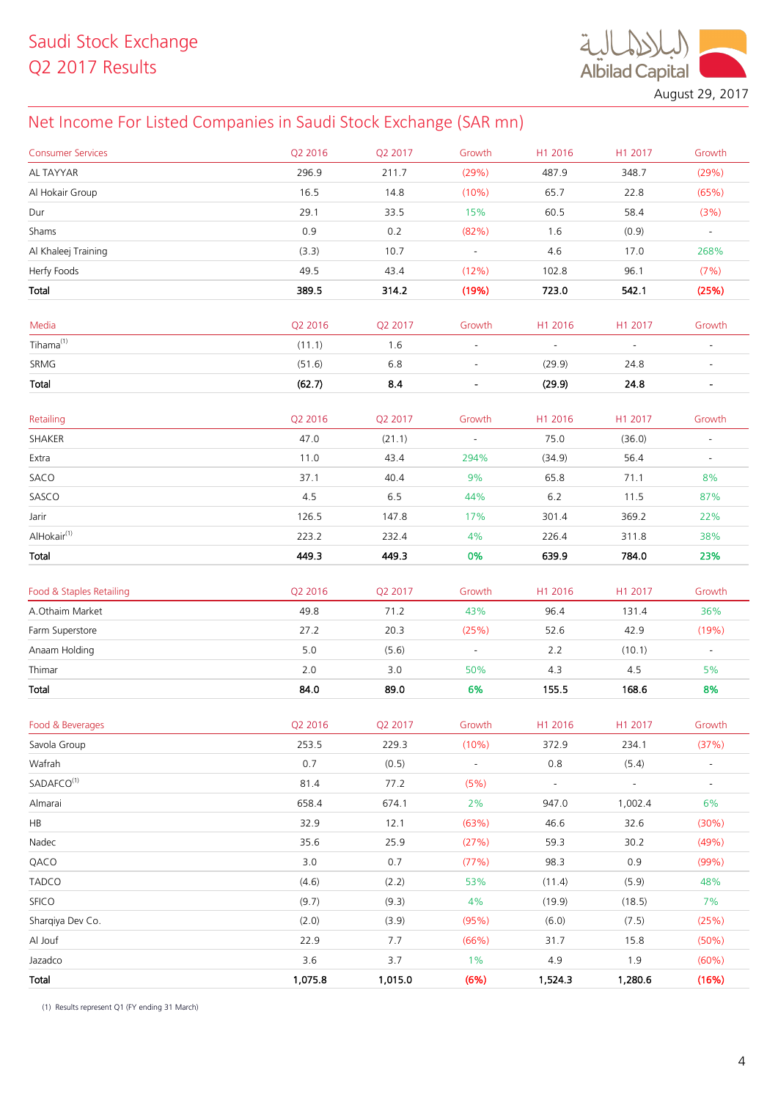$\ddot{a}$ **Albilad Capital** 

August 29, 2017

## Net Income For Listed Companies in Saudi Stock Exchange (SAR mn)

| <b>Consumer Services</b> | Q2 2016 | Q2 2017 | Growth                   | H1 2016                  | H1 2017                  | Growth                   |
|--------------------------|---------|---------|--------------------------|--------------------------|--------------------------|--------------------------|
| AL TAYYAR                | 296.9   | 211.7   | (29%)                    | 487.9                    | 348.7                    | (29%)                    |
| Al Hokair Group          | 16.5    | 14.8    | (10%)                    | 65.7                     | 22.8                     | (65%)                    |
| Dur                      | 29.1    | 33.5    | 15%                      | 60.5                     | 58.4                     | (3%)                     |
| Shams                    | 0.9     | 0.2     | (82%)                    | 1.6                      | (0.9)                    | $\sim$                   |
| Al Khaleej Training      | (3.3)   | 10.7    | $\sim$                   | 4.6                      | 17.0                     | 268%                     |
| Herfy Foods              | 49.5    | 43.4    | (12%)                    | 102.8                    | 96.1                     | (7%)                     |
| Total                    | 389.5   | 314.2   | (19%)                    | 723.0                    | 542.1                    | (25%)                    |
|                          |         |         |                          |                          |                          |                          |
| Media                    | Q2 2016 | Q2 2017 | Growth                   | H1 2016                  | H1 2017                  | Growth                   |
| $Tihama^{(1)}$           | (11.1)  | 1.6     | $\overline{\phantom{a}}$ | $\overline{\phantom{a}}$ | $\overline{\phantom{a}}$ | $\overline{\phantom{a}}$ |
| SRMG                     | (51.6)  | 6.8     |                          | (29.9)                   | 24.8                     |                          |
| Total                    | (62.7)  | 8.4     | $\blacksquare$           | (29.9)                   | 24.8                     | $\blacksquare$           |
|                          |         |         |                          |                          |                          |                          |
| Retailing                | Q2 2016 | Q2 2017 | Growth                   | H1 2016                  | H1 2017                  | Growth                   |
| SHAKER                   | 47.0    | (21.1)  | $\blacksquare$           | 75.0                     | (36.0)                   | $\blacksquare$           |
| Extra                    | 11.0    | 43.4    | 294%                     | (34.9)                   | 56.4                     |                          |
| SACO                     | 37.1    | 40.4    | 9%                       | 65.8                     | 71.1                     | 8%                       |
| SASCO                    | 4.5     | 6.5     | 44%                      | 6.2                      | 11.5                     | 87%                      |
| Jarir                    | 126.5   | 147.8   | 17%                      | 301.4                    | 369.2                    | 22%                      |
| AlHokair <sup>(1)</sup>  | 223.2   | 232.4   | 4%                       | 226.4                    | 311.8                    | 38%                      |
| Total                    | 449.3   | 449.3   | 0%                       | 639.9                    | 784.0                    | 23%                      |
| Food & Staples Retailing | Q2 2016 | Q2 2017 | Growth                   | H1 2016                  | H1 2017                  | Growth                   |
| A.Othaim Market          | 49.8    | 71.2    | 43%                      | 96.4                     | 131.4                    | 36%                      |
| Farm Superstore          | 27.2    | 20.3    | (25%)                    | 52.6                     | 42.9                     | (19%)                    |
| Anaam Holding            | 5.0     | (5.6)   | $\sim$                   | 2.2                      | (10.1)                   | $\sim$                   |
| Thimar                   | 2.0     | 3.0     | 50%                      | 4.3                      | 4.5                      | 5%                       |
| Total                    | 84.0    | 89.0    | 6%                       | 155.5                    | 168.6                    | 8%                       |
|                          |         |         |                          |                          |                          |                          |
| Food & Beverages         | Q2 2016 | Q2 2017 | Growth                   | H1 2016                  | H1 2017                  | Growth                   |
| Savola Group             | 253.5   | 229.3   | (10%)                    | 372.9                    | 234.1                    | (37%)                    |
| Wafrah                   | 0.7     | (0.5)   | $\blacksquare$           | $0.8\,$                  | (5.4)                    | $\overline{\phantom{a}}$ |
| SADAFCO <sup>(1)</sup>   | 81.4    | 77.2    | (5%)                     | $\sim$                   | $\sim$                   | $\blacksquare$           |
| Almarai                  | 658.4   | 674.1   | 2%                       | 947.0                    | 1,002.4                  | 6%                       |
| HB                       | 32.9    | 12.1    | (63%)                    | 46.6                     | 32.6                     | (30%)                    |
| Nadec                    | 35.6    | 25.9    | (27%)                    | 59.3                     | 30.2                     | (49%)                    |
| QACO                     | 3.0     | 0.7     | (77%)                    | 98.3                     | 0.9                      | (99%)                    |
| <b>TADCO</b>             | (4.6)   | (2.2)   | 53%                      | (11.4)                   | (5.9)                    | 48%                      |
| <b>SFICO</b>             | (9.7)   | (9.3)   | 4%                       | (19.9)                   | (18.5)                   | 7%                       |
| Sharqiya Dev Co.         | (2.0)   | (3.9)   | (95%)                    | (6.0)                    | (7.5)                    | (25%)                    |
| Al Jouf                  | 22.9    | 7.7     | (66%)                    | 31.7                     | 15.8                     | (50%)                    |
| Jazadco                  | 3.6     | 3.7     | 1%                       | 4.9                      | 1.9                      | (60%)                    |
| Total                    | 1,075.8 | 1,015.0 | (6%)                     | 1,524.3                  | 1,280.6                  | (16%)                    |
|                          |         |         |                          |                          |                          |                          |

(1) Results represent Q1 (FY ending 31 March)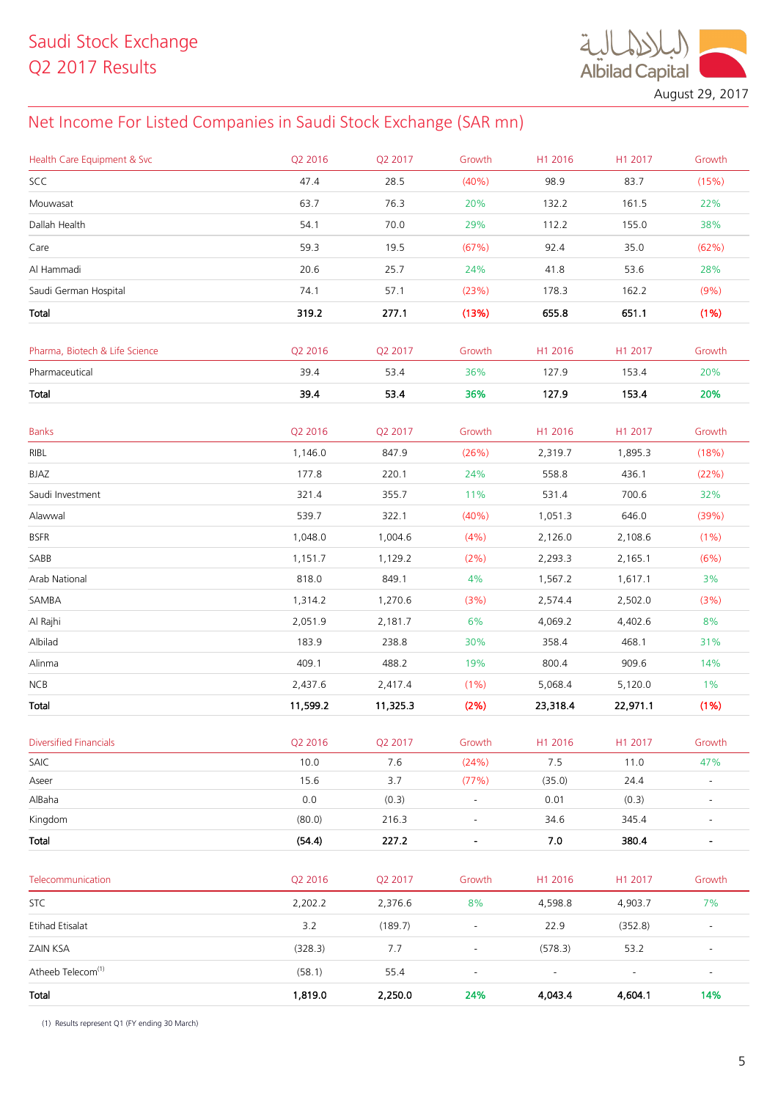**Albilad Capital** 

August 29, 2017

## Net Income For Listed Companies in Saudi Stock Exchange (SAR mn)

| Health Care Equipment & Svc    | Q2 2016  | Q2 2017  | Growth                   | H1 2016        | H1 2017        | Growth                   |
|--------------------------------|----------|----------|--------------------------|----------------|----------------|--------------------------|
| SCC                            | 47.4     | 28.5     | (40% )                   | 98.9           | 83.7           | (15%)                    |
| Mouwasat                       | 63.7     | 76.3     | 20%                      | 132.2          | 161.5          | 22%                      |
| Dallah Health                  | 54.1     | 70.0     | 29%                      | 112.2          | 155.0          | 38%                      |
| Care                           | 59.3     | 19.5     | (67%)                    | 92.4           | 35.0           | (62%)                    |
| Al Hammadi                     | 20.6     | 25.7     | 24%                      | 41.8           | 53.6           | 28%                      |
| Saudi German Hospital          | 74.1     | 57.1     | (23%)                    | 178.3          | 162.2          | (9% )                    |
| Total                          | 319.2    | 277.1    | (13%)                    | 655.8          | 651.1          | (1%)                     |
|                                |          |          |                          |                |                |                          |
| Pharma, Biotech & Life Science | Q2 2016  | Q2 2017  | Growth                   | H1 2016        | H1 2017        | Growth                   |
| Pharmaceutical                 | 39.4     | 53.4     | 36%                      | 127.9          | 153.4          | 20%                      |
| Total                          | 39.4     | 53.4     | 36%                      | 127.9          | 153.4          | 20%                      |
|                                |          |          |                          |                |                |                          |
| <b>Banks</b>                   | Q2 2016  | Q2 2017  | Growth                   | H1 2016        | H1 2017        | Growth                   |
| RIBL                           | 1,146.0  | 847.9    | (26%)                    | 2,319.7        | 1,895.3        | (18%)                    |
| BJAZ                           | 177.8    | 220.1    | 24%                      | 558.8          | 436.1          | (22%)                    |
| Saudi Investment               | 321.4    | 355.7    | 11%                      | 531.4          | 700.6          | 32%                      |
| Alawwal                        | 539.7    | 322.1    | (40%)                    | 1,051.3        | 646.0          | (39%)                    |
| <b>BSFR</b>                    | 1,048.0  | 1,004.6  | (4% )                    | 2,126.0        | 2,108.6        | (1%)                     |
| SABB                           | 1,151.7  | 1,129.2  | (2%)                     | 2,293.3        | 2,165.1        | (6%)                     |
| Arab National                  | 818.0    | 849.1    | 4%                       | 1,567.2        | 1,617.1        | 3%                       |
| SAMBA                          | 1,314.2  | 1,270.6  | (3%)                     | 2,574.4        | 2,502.0        | (3%)                     |
| Al Rajhi                       | 2,051.9  | 2,181.7  | 6%                       | 4,069.2        | 4,402.6        | 8%                       |
| Albilad                        | 183.9    | 238.8    | 30%                      | 358.4          | 468.1          | 31%                      |
| Alinma                         | 409.1    | 488.2    | 19%                      | 800.4          | 909.6          | 14%                      |
| NCB                            | 2,437.6  | 2,417.4  | (1%)                     | 5,068.4        | 5,120.0        | $1\%$                    |
| Total                          | 11,599.2 | 11,325.3 | (2%)                     | 23,318.4       | 22,971.1       | (1%)                     |
| <b>Diversified Financials</b>  | Q2 2016  | Q2 2017  | Growth                   | H1 2016        | H1 2017        | Growth                   |
| SAIC                           | 10.0     | 7.6      | (24%)                    | 7.5            | 11.0           | 47%                      |
| Aseer                          | 15.6     | 3.7      | (77%)                    | (35.0)         | 24.4           |                          |
| AlBaha                         | $0.0\,$  | (0.3)    | $\overline{\phantom{a}}$ | 0.01           | (0.3)          | $\overline{\phantom{a}}$ |
| Kingdom                        | (80.0)   | 216.3    | $\blacksquare$           | 34.6           | 345.4          | $\blacksquare$           |
| Total                          | (54.4)   | 227.2    | $\blacksquare$           | 7.0            | 380.4          | $\blacksquare$           |
|                                |          |          |                          |                |                |                          |
| Telecommunication              | Q2 2016  | Q2 2017  | Growth                   | H1 2016        | H1 2017        | Growth                   |
| <b>STC</b>                     | 2,202.2  | 2,376.6  | 8%                       | 4,598.8        | 4,903.7        | 7%                       |
| <b>Etihad Etisalat</b>         | 3.2      | (189.7)  | $\blacksquare$           | 22.9           | (352.8)        | $\overline{\phantom{a}}$ |
| ZAIN KSA                       | (328.3)  | 7.7      | $\blacksquare$           | (578.3)        | 53.2           | $\overline{\phantom{a}}$ |
| Atheeb Telecom <sup>(1)</sup>  | (58.1)   | 55.4     | $\blacksquare$           | $\blacksquare$ | $\blacksquare$ | $\overline{\phantom{a}}$ |
| Total                          | 1,819.0  | 2,250.0  | 24%                      | 4,043.4        | 4,604.1        | 14%                      |

(1) Results represent Q1 (FY ending 30 March)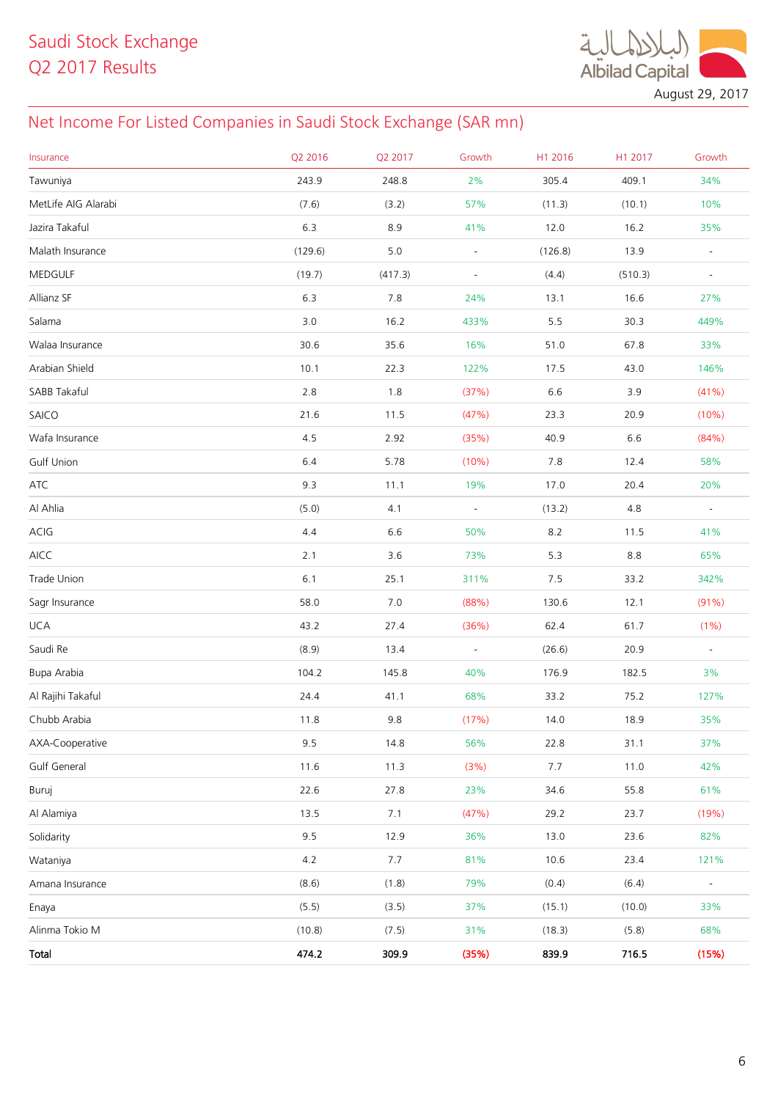$\ddot{\mathcal{A}}$ **Albilad Capital** 

August 29, 2017

## Net Income For Listed Companies in Saudi Stock Exchange (SAR mn)

| Insurance           | Q2 2016 | Q2 2017 | Growth                   | H1 2016 | H1 2017 | Growth                   |
|---------------------|---------|---------|--------------------------|---------|---------|--------------------------|
| Tawuniya            | 243.9   | 248.8   | 2%                       | 305.4   | 409.1   | 34%                      |
| MetLife AIG Alarabi | (7.6)   | (3.2)   | 57%                      | (11.3)  | (10.1)  | 10%                      |
| Jazira Takaful      | 6.3     | 8.9     | 41%                      | 12.0    | 16.2    | 35%                      |
| Malath Insurance    | (129.6) | $5.0$   | $\blacksquare$           | (126.8) | 13.9    | $\blacksquare$           |
| MEDGULF             | (19.7)  | (417.3) | $\overline{\phantom{a}}$ | (4.4)   | (510.3) | $\sim$                   |
| Allianz SF          | 6.3     | 7.8     | 24%                      | 13.1    | 16.6    | 27%                      |
| Salama              | 3.0     | 16.2    | 433%                     | 5.5     | 30.3    | 449%                     |
| Walaa Insurance     | 30.6    | 35.6    | 16%                      | 51.0    | 67.8    | 33%                      |
| Arabian Shield      | 10.1    | 22.3    | 122%                     | 17.5    | 43.0    | 146%                     |
| SABB Takaful        | $2.8\,$ | 1.8     | (37%)                    | 6.6     | 3.9     | (41%)                    |
| SAICO               | 21.6    | 11.5    | (47%)                    | 23.3    | 20.9    | (10%)                    |
| Wafa Insurance      | 4.5     | 2.92    | (35%)                    | 40.9    | 6.6     | (84%)                    |
| <b>Gulf Union</b>   | 6.4     | 5.78    | (10%)                    | 7.8     | 12.4    | 58%                      |
| $\sf ATC$           | 9.3     | 11.1    | 19%                      | 17.0    | 20.4    | 20%                      |
| Al Ahlia            | (5.0)   | 4.1     | $\overline{\phantom{a}}$ | (13.2)  | 4.8     | $\blacksquare$           |
| ACIG                | 4.4     | 6.6     | 50%                      | 8.2     | 11.5    | 41%                      |
| AICC                | 2.1     | 3.6     | 73%                      | 5.3     | 8.8     | 65%                      |
| Trade Union         | $6.1$   | 25.1    | 311%                     | $7.5$   | 33.2    | 342%                     |
| Sagr Insurance      | 58.0    | 7.0     | (88%)                    | 130.6   | 12.1    | (91%)                    |
| <b>UCA</b>          | 43.2    | 27.4    | (36%)                    | 62.4    | 61.7    | (1%)                     |
| Saudi Re            | (8.9)   | 13.4    | $\overline{\phantom{a}}$ | (26.6)  | 20.9    | $\sim$                   |
| Bupa Arabia         | 104.2   | 145.8   | 40%                      | 176.9   | 182.5   | 3%                       |
| Al Rajihi Takaful   | 24.4    | 41.1    | 68%                      | 33.2    | 75.2    | 127%                     |
| Chubb Arabia        | 11.8    | 9.8     | (17%)                    | 14.0    | 18.9    | 35%                      |
| AXA-Cooperative     | 9.5     | 14.8    | 56%                      | 22.8    | 31.1    | 37%                      |
| Gulf General        | 11.6    | 11.3    | (3%)                     | 7.7     | 11.0    | 42%                      |
| Buruj               | 22.6    | 27.8    | 23%                      | 34.6    | 55.8    | 61%                      |
| Al Alamiya          | 13.5    | 7.1     | (47%)                    | 29.2    | 23.7    | (19%)                    |
| Solidarity          | 9.5     | 12.9    | 36%                      | 13.0    | 23.6    | 82%                      |
| Wataniya            | 4.2     | 7.7     | 81%                      | 10.6    | 23.4    | 121%                     |
| Amana Insurance     | (8.6)   | (1.8)   | 79%                      | (0.4)   | (6.4)   | $\overline{\phantom{a}}$ |
| Enaya               | (5.5)   | (3.5)   | 37%                      | (15.1)  | (10.0)  | 33%                      |
| Alinma Tokio M      | (10.8)  | (7.5)   | 31%                      | (18.3)  | (5.8)   | 68%                      |
| Total               | 474.2   | 309.9   | (35%)                    | 839.9   | 716.5   | (15%)                    |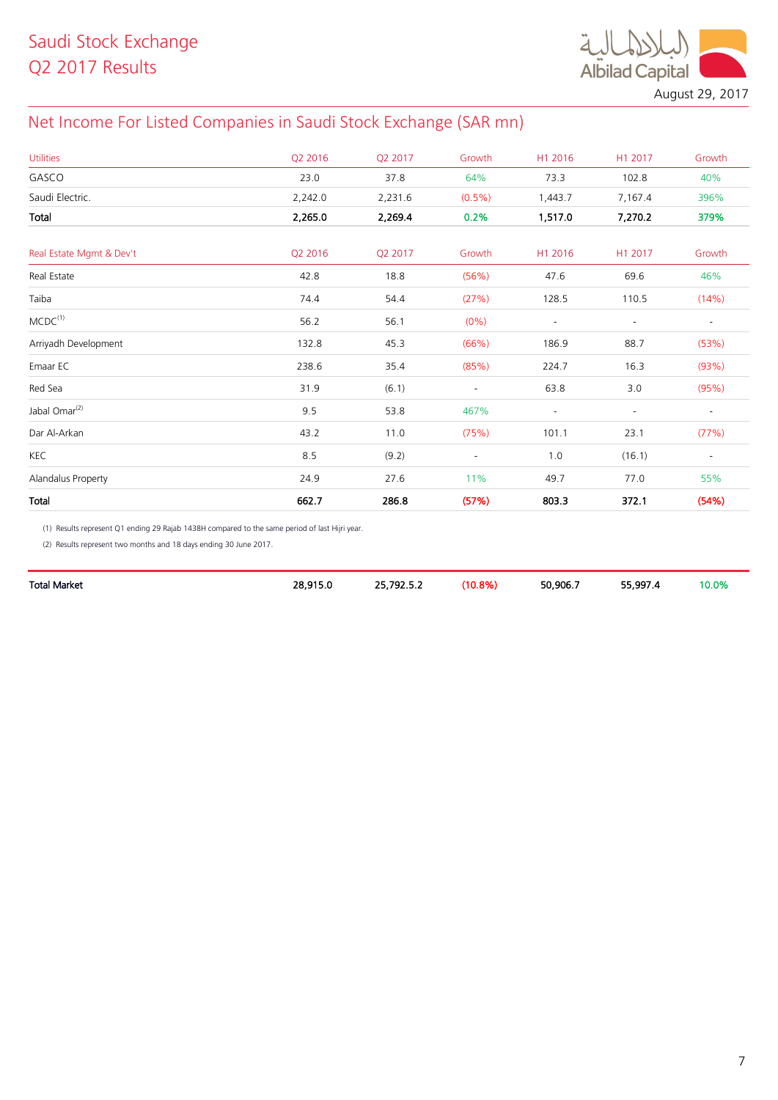

August 29, 2017

## Net Income For Listed Companies in Saudi Stock Exchange (SAR mn)

| <b>Utilities</b>          | Q2 2016 | Q2 2017 | Growth                   | H1 2016                  | H1 2017        | Growth                   |
|---------------------------|---------|---------|--------------------------|--------------------------|----------------|--------------------------|
| GASCO                     | 23.0    | 37.8    | 64%                      | 73.3                     | 102.8          | 40%                      |
| Saudi Electric.           | 2,242.0 | 2,231.6 | $(0.5\%)$                | 1,443.7                  | 7,167.4        | 396%                     |
| Total                     | 2,265.0 | 2,269.4 | 0.2%                     | 1,517.0                  | 7,270.2        | 379%                     |
| Real Estate Mgmt & Dev't  | Q2 2016 | Q2 2017 | Growth                   | H1 2016                  | H1 2017        | Growth                   |
| Real Estate               | 42.8    | 18.8    | (56%)                    | 47.6                     | 69.6           | 46%                      |
| Taiba                     | 74.4    | 54.4    | (27%)                    | 128.5                    | 110.5          | (14%)                    |
| MCDC <sup>(1)</sup>       | 56.2    | 56.1    | $(0\%)$                  | $\overline{\phantom{a}}$ | $\blacksquare$ | $\overline{\phantom{a}}$ |
| Arriyadh Development      | 132.8   | 45.3    | (66%)                    | 186.9                    | 88.7           | (53%)                    |
| Emaar EC                  | 238.6   | 35.4    | (85%)                    | 224.7                    | 16.3           | (93%)                    |
| Red Sea                   | 31.9    | (6.1)   | $\overline{\phantom{a}}$ | 63.8                     | 3.0            | (95%)                    |
| Jabal Omar <sup>(2)</sup> | 9.5     | 53.8    | 467%                     |                          |                |                          |
| Dar Al-Arkan              | 43.2    | 11.0    | (75%)                    | 101.1                    | 23.1           | (77%)                    |
| <b>KEC</b>                | 8.5     | (9.2)   | $\overline{\phantom{a}}$ | 1.0                      | (16.1)         | $\overline{\phantom{a}}$ |
| Alandalus Property        | 24.9    | 27.6    | 11%                      | 49.7                     | 77.0           | 55%                      |
| Total                     | 662.7   | 286.8   | (57%)                    | 803.3                    | 372.1          | (54%)                    |

(1) Results represent Q1 ending 29 Rajab 1438H compared to the same period of last Hijri year.

(2) Results represent two months and 18 days ending 30 June 2017.

| Total Market | 28,915 | 25 792 5 2<br>-----<br><u>.</u> | 10.8% | 50.906.7<br>. | 55.997<br>- | 10.0% |
|--------------|--------|---------------------------------|-------|---------------|-------------|-------|
|              |        |                                 |       |               |             |       |